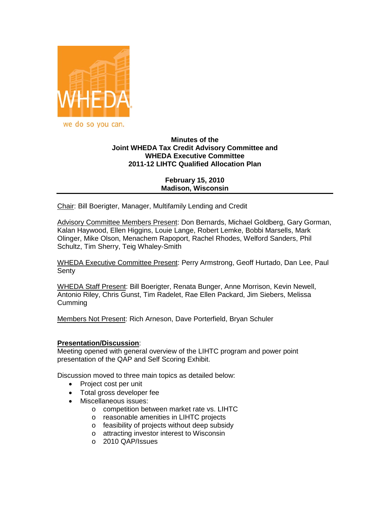

# **Minutes of the Joint WHEDA Tax Credit Advisory Committee and WHEDA Executive Committee 2011-12 LIHTC Qualified Allocation Plan**

## **February 15, 2010 Madison, Wisconsin**

Chair: Bill Boerigter, Manager, Multifamily Lending and Credit

Advisory Committee Members Present: Don Bernards, Michael Goldberg, Gary Gorman, Kalan Haywood, Ellen Higgins, Louie Lange, Robert Lemke, Bobbi Marsells, Mark Olinger, Mike Olson, Menachem Rapoport, Rachel Rhodes, Welford Sanders, Phil Schultz, Tim Sherry, Teig Whaley-Smith

WHEDA Executive Committee Present: Perry Armstrong, Geoff Hurtado, Dan Lee, Paul **Senty** 

WHEDA Staff Present: Bill Boerigter, Renata Bunger, Anne Morrison, Kevin Newell, Antonio Riley, Chris Gunst, Tim Radelet, Rae Ellen Packard, Jim Siebers, Melissa Cumming

Members Not Present: Rich Arneson, Dave Porterfield, Bryan Schuler

### **Presentation/Discussion**:

Meeting opened with general overview of the LIHTC program and power point presentation of the QAP and Self Scoring Exhibit.

Discussion moved to three main topics as detailed below:

- Project cost per unit
- Total gross developer fee
- Miscellaneous issues:
	- o competition between market rate vs. LIHTC
	- o reasonable amenities in LIHTC projects
	- o feasibility of projects without deep subsidy
	- o attracting investor interest to Wisconsin
	- o 2010 QAP/Issues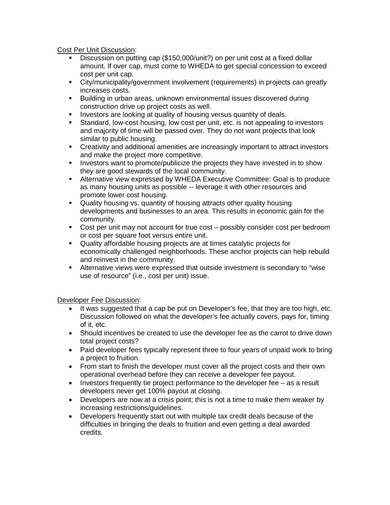Cost Per Unit Discussion:

- Discussion on putting cap (\$150,000/unit?) on per unit cost at a fixed dollar amount. If over cap, must come to WHEDA to get special concession to exceed cost per unit cap.
- City/municipality/government involvement (requirements) in projects can greatly increases costs.
- **Building in urban areas, unknown environmental issues discovered during** construction drive up project costs as well.
- **Investors are looking at quality of housing versus quantity of deals.**
- Standard, low-cost housing, low cost per unit, etc. is not appealing to investors and majority of time will be passed over. They do not want projects that look similar to public housing.
- Creativity and additional amenities are increasingly important to attract investors and make the project more competitive.
- Investors want to promote/publicize the projects they have invested in to show they are good stewards of the local community.
- Alternative view expressed by WHEDA Executive Committee: Goal is to produce as many housing units as possible -- leverage it with other resources and promote lower cost housing.
- Quality housing vs. quantity of housing attracts other quality housing developments and businesses to an area. This results in economic gain for the community.
- Cost per unit may not account for true cost possibly consider cost per bedroom or cost per square foot versus entire unit.
- Quality affordable housing projects are at times catalytic projects for economically challenged neighborhoods. These anchor projects can help rebuild and reinvest in the community.
- Alternative views were expressed that outside investment is secondary to "wise use of resource" (i.e., cost per unit) issue.

Developer Fee Discussion:

- It was suggested that a cap be put on Developer's fee, that they are too high, etc. Discussion followed on what the developer's fee actually covers, pays for, timing of it, etc.
- Should incentives be created to use the developer fee as the carrot to drive down total project costs?
- Paid developer fees typically represent three to four years of unpaid work to bring a project to fruition.
- From start to finish the developer must cover all the project costs and their own operational overhead before they can receive a developer fee payout.
- Investors frequently tie project performance to the developer fee as a result developers never get 100% payout at closing.
- Developers are now at a crisis point; this is not a time to make them weaker by increasing restrictions/guidelines.
- Developers frequently start out with multiple tax credit deals because of the difficulties in bringing the deals to fruition and even getting a deal awarded credits.